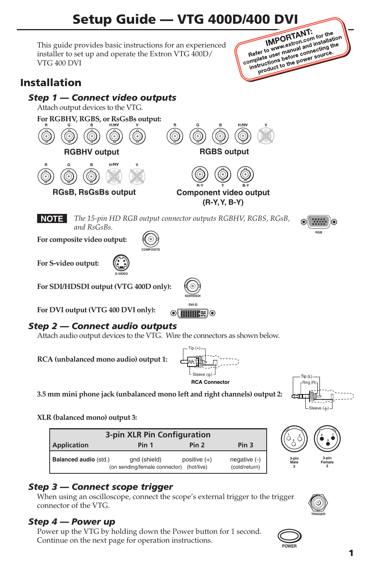# Setup Guide — VTG 400D/400 DVI<br>provides basic instructions for an experienced<br>set up and operate the Exeter can experienced

This guide provides basic instructions for an experienced installer to set up and operate the Extron VTG 400D/ VTG 400 DVI



## Installation

### *Step 1 — Connect video outputs* Attach output devices to the VTG. **For RGBHV, RGBS, or RsGsBs output: R G B H /HV V R G B H /HV V RGBHV output RGBS output R G B H /HV V R-Y Y B-Y RGsB, RsGsBs output Component video output (R-Y, Y, B-Y) NOTE** The 15-pin HD RGB output connector outputs RGBHV, RGBS, RGsB, *and RsGsBs.* **For composite video output: COMPOSITE For S-video output: S-VIDEO For SDI/HDSDI output (VTG 400D only): SDI/HDSDI SDI/HDSDI** DVI-D **For DVI output (VTG 400 DVI only):**  $\odot$  (HHR)  $\odot$

## *Step 2 — Connect audio outputs*

Attach audio output devices to the VTG. Wire the connectors as shown below.

**RCA (unbalanced mono audio) output 1:**



Tip (+)



**RGB**

**3.5 mm mini phone jack (unbalanced mono left and right channels) output 2:**

**XLR (balanced mono) output 3:**

| 3-pin XLR Pin Configuration  |                                                          |                  |                               |  |  |  |  |  |  |  |
|------------------------------|----------------------------------------------------------|------------------|-------------------------------|--|--|--|--|--|--|--|
| <b>Application</b>           | Pin 1                                                    | Pin <sub>2</sub> | Pin <sub>3</sub>              |  |  |  |  |  |  |  |
| <b>Balanced audio (std.)</b> | gnd (shield)<br>(on sending/female connector) (hot/live) | positive $(+)$   | negative (-)<br>(cold/return) |  |  |  |  |  |  |  |

## *Step 3 — Connect scope trigger*

When using an oscilloscope, connect the scope's external trigger to the trigger connector of the VTG.

## *Step 4 — Power up*

Power up the VTG by holding down the Power button for 1 second. Continue on the next page for operation instructions.



**3-pin Male 3**

**3**



**3-pin Female 3**

**3 1**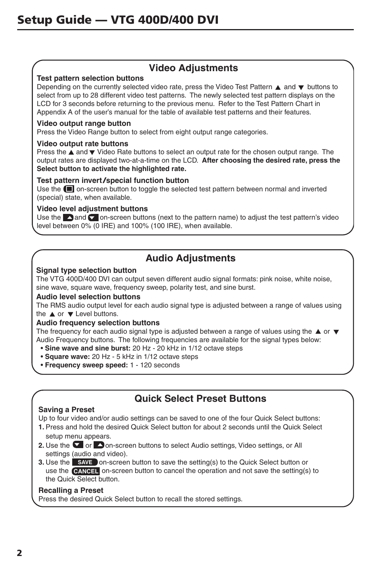## **Video Adjustments**

#### **Test pattern selection buttons**

Depending on the currently selected video rate, press the Video Test Pattern  $\triangle$  and  $\nabla$  buttons to select from up to 28 different video test patterns. The newly selected test pattern displays on the LCD for 3 seconds before returning to the previous menu. Refer to the Test Pattern Chart in Appendix A of the user's manual for the table of available test patterns and their features.

#### **Video output range button**

Press the Video Range button to select from eight output range categories.

#### **Video output rate buttons**

Press the  $\blacktriangle$  and  $\nabla$  Video Rate buttons to select an output rate for the chosen output range. The output rates are displayed two-at-a-time on the LCD. **After choosing the desired rate, press the Select button to activate the highlighted rate.**

#### **Test pattern invert/special function button**

Use the  $\blacksquare$  on-screen button to toggle the selected test pattern between normal and inverted (special) state, when available.

#### **Video level adjustment buttons**

Use the **and**  $\bullet$  on-screen buttons (next to the pattern name) to adjust the test pattern's video level between 0% (0 IRE) and 100% (100 IRE), when available.

## **Audio Adjustments**

#### **Signal type selection button**

The VTG 400D/400 DVI can output seven different audio signal formats: pink noise, white noise, sine wave, square wave, frequency sweep, polarity test, and sine burst.

#### **Audio level selection buttons**

The RMS audio output level for each audio signal type is adjusted between a range of values using the  $\triangle$  or  $\nabla$  Level buttons.

#### **Audio frequency selection buttons**

The frequency for each audio signal type is adjusted between a range of values using the  $\blacktriangle$  or  $\blacktriangledown$ Audio Frequency buttons. The following frequencies are available for the signal types below:

- **Sine wave and sine burst:** 20 Hz 20 kHz in 1/12 octave steps
- **Square wave:** 20 Hz 5 kHz in 1/12 octave steps
- **Frequency sweep speed:** 1 120 seconds

## **Quick Select Preset Buttons**

#### **Saving a Preset**

Up to four video and/or audio settings can be saved to one of the four Quick Select buttons:

- **1.** Press and hold the desired Quick Select button for about 2 seconds until the Quick Select setup menu appears.
- **2.** Use the **o** or **on-screen buttons to select Audio settings, Video settings, or All** settings (audio and video).
- **3.** Use the **SAVE** on-screen button to save the setting(s) to the Quick Select button or use the **CANCEL** on-screen button to cancel the operation and not save the setting(s) to the Quick Select button.

#### **Recalling a Preset**

Press the desired Quick Select button to recall the stored settings.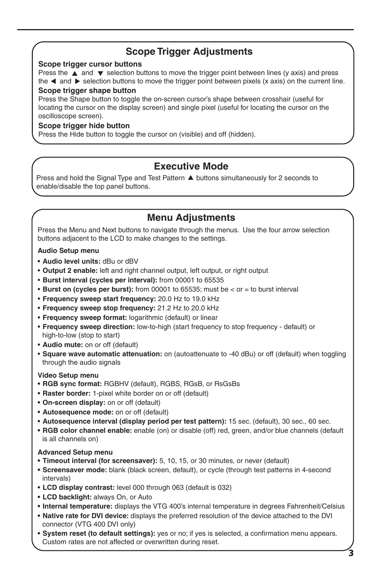## **Scope Trigger Adjustments**

#### **Scope trigger cursor buttons**

Press the  $\triangle$  and  $\nabla$  selection buttons to move the trigger point between lines (y axis) and press the  $\triangleleft$  and  $\triangleright$  selection buttons to move the trigger point between pixels (x axis) on the current line.

#### **Scope trigger shape button**

Press the Shape button to toggle the on-screen cursor's shape between crosshair (useful for locating the cursor on the display screen) and single pixel (useful for locating the cursor on the oscilloscope screen).

#### **Scope trigger hide button**

Press the Hide button to toggle the cursor on (visible) and off (hidden).

## **Executive Mode**

Press and hold the Signal Type and Test Pattern  $\blacktriangle$  buttons simultaneously for 2 seconds to enable/disable the top panel buttons.

## **Menu Adjustments**

Press the Menu and Next buttons to navigate through the menus. Use the four arrow selection buttons adjacent to the LCD to make changes to the settings.

**Audio Setup menu**

- **• Audio level units:** dBu or dBV
- **Output 2 enable:** left and right channel output, left output, or right output
- **Burst interval (cycles per interval):** from 00001 to 65535
- **Burst on (cycles per burst):** from 00001 to 65535; must be < or = to burst interval
- **Frequency sweep start frequency:** 20.0 Hz to 19.0 kHz
- **Frequency sweep stop frequency:** 21.2 Hz to 20.0 kHz
- **Frequency sweep format:** logarithmic (default) or linear
- **Frequency sweep direction:** low-to-high (start frequency to stop frequency default) or high-to-low (stop to start)
- **Audio mute:** on or off (default)
- **Square wave automatic attenuation:** on (autoattenuate to -40 dBu) or off (default) when toggling through the audio signals

#### **Video Setup menu**

- **• RGB sync format:** RGBHV (default), RGBS, RGsB, or RsGsBs
- **• Raster border:** 1-pixel white border on or off (default)
- **• On-screen display:** on or off (default)
- **• Autosequence mode:** on or off (default)
- **• Autosequence interval (display period per test pattern):** 15 sec. (default), 30 sec., 60 sec.
- **• RGB color channel enable:** enable (on) or disable (off) red, green, and/or blue channels (default is all channels on)

#### **Advanced Setup menu**

- **• Timeout interval (for screensaver):** 5, 10, 15, or 30 minutes, or never (default)
- **• Screensaver mode:** blank (black screen, default), or cycle (through test patterns in 4-second intervals)
- **• LCD display contrast:** level 000 through 063 (default is 032)
- **• LCD backlight:** always On, or Auto
- **• Internal temperature:** displays the VTG 400's internal temperature in degrees Fahrenheit/Celsius
- **• Native rate for DVI device:** displays the preferred resolution of the device attached to the DVI connector (VTG 400 DVI only)
- **• System reset (to default settings):** yes or no; if yes is selected, a confirmation menu appears. Custom rates are not affected or overwritten during reset.